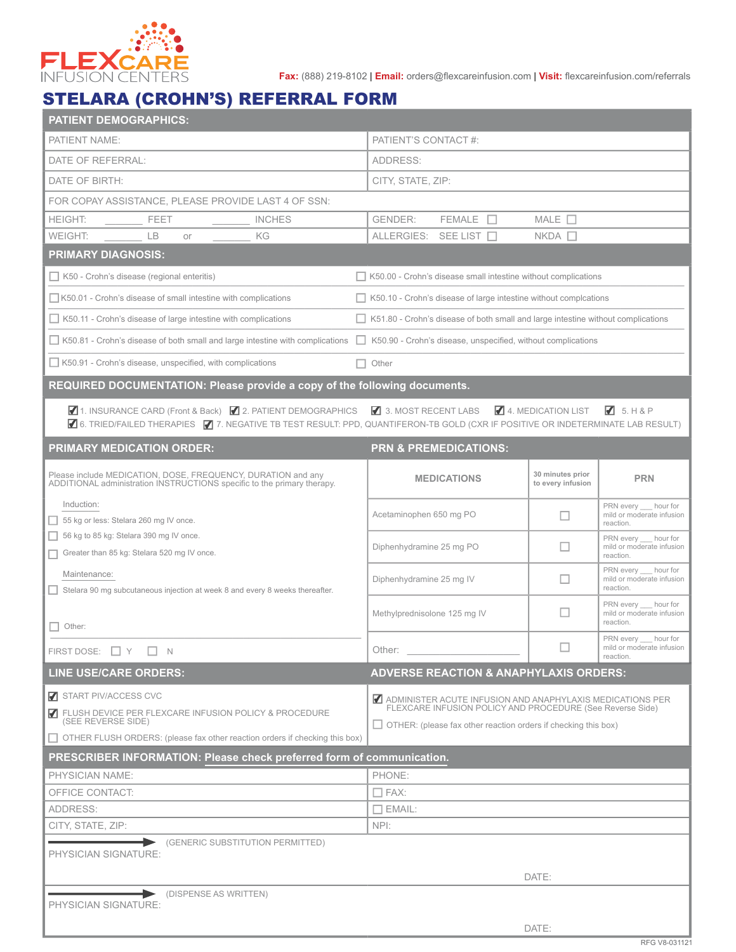

**Fax:** (888) 219-8102 | **Email:** orders@flexcareinfusion.com | **Visit:** flexcareinfusion.com/referrals

## STELARA (CROHN'S) REFERRAL FORM

| <b>PATIENT DEMOGRAPHICS:</b>                                                                                                                                                               |                                                                                    |                                       |                                                                 |
|--------------------------------------------------------------------------------------------------------------------------------------------------------------------------------------------|------------------------------------------------------------------------------------|---------------------------------------|-----------------------------------------------------------------|
| PATIENT NAME:                                                                                                                                                                              | PATIENT'S CONTACT #:                                                               |                                       |                                                                 |
| DATE OF REFERRAL:                                                                                                                                                                          | ADDRESS:                                                                           |                                       |                                                                 |
| DATE OF BIRTH:                                                                                                                                                                             | CITY, STATE, ZIP:                                                                  |                                       |                                                                 |
| FOR COPAY ASSISTANCE, PLEASE PROVIDE LAST 4 OF SSN:                                                                                                                                        |                                                                                    |                                       |                                                                 |
| <b>HEIGHT:</b><br><b>FEET</b><br><b>INCHES</b>                                                                                                                                             | <b>GENDER:</b><br>FEMALE <b>IT</b>                                                 | MALE $\Box$                           |                                                                 |
| WEIGHT:<br>$\overline{B}$<br>KG<br>or                                                                                                                                                      | ALLERGIES: SEE LIST                                                                | $NKDA$ $\Box$                         |                                                                 |
| <b>PRIMARY DIAGNOSIS:</b>                                                                                                                                                                  |                                                                                    |                                       |                                                                 |
| $\Box$ K50 - Crohn's disease (regional enteritis)                                                                                                                                          | $\Box$ K50.00 - Crohn's disease small intestine without complications              |                                       |                                                                 |
| $\Box$ K50.01 - Crohn's disease of small intestine with complications                                                                                                                      | $\Box$ K50.10 - Crohn's disease of large intestine without complcations            |                                       |                                                                 |
| K50.11 - Crohn's disease of large intestine with complications                                                                                                                             | □ K51.80 - Crohn's disease of both small and large intestine without complications |                                       |                                                                 |
| K50.81 - Crohn's disease of both small and large intestine with complications                                                                                                              | $\Box$ K50.90 - Crohn's disease, unspecified, without complications                |                                       |                                                                 |
| $\Box$ K50.91 - Crohn's disease, unspecified, with complications                                                                                                                           | Other<br>H.                                                                        |                                       |                                                                 |
| REQUIRED DOCUMENTATION: Please provide a copy of the following documents.                                                                                                                  |                                                                                    |                                       |                                                                 |
| 1. INSURANCE CARD (Front & Back) 2. PATIENT DEMOGRAPHICS<br>6. TRIED/FAILED THERAPIES 7 7. NEGATIVE TB TEST RESULT: PPD, QUANTIFERON-TB GOLD (CXR IF POSITIVE OR INDETERMINATE LAB RESULT) | 3. MOST RECENT LABS                                                                | 4. MEDICATION LIST                    | $\sqrt{3}$ 5. H & P                                             |
| <b>PRIMARY MEDICATION ORDER:</b>                                                                                                                                                           | <b>PRN &amp; PREMEDICATIONS:</b>                                                   |                                       |                                                                 |
| Please include MEDICATION, DOSE, FREQUENCY, DURATION and any<br>ADDITIONAL administration INSTRUCTIONS specific to the primary therapy.                                                    | <b>MEDICATIONS</b>                                                                 | 30 minutes prior<br>to every infusion | <b>PRN</b>                                                      |
| Induction:<br>55 kg or less: Stelara 260 mg IV once.                                                                                                                                       | Acetaminophen 650 mg PO                                                            | $\Box$                                | PRN every hour for<br>mild or moderate infusion<br>reaction.    |
| 56 kg to 85 kg: Stelara 390 mg IV once.<br>Greater than 85 kg: Stelara 520 mg IV once.                                                                                                     | Diphenhydramine 25 mg PO                                                           | $\Box$                                | PRN every __ hour for<br>mild or moderate infusion<br>reaction. |
| Maintenance:<br>Stelara 90 mg subcutaneous injection at week 8 and every 8 weeks thereafter.                                                                                               | Diphenhydramine 25 mg IV                                                           | П                                     | PRN every hour for<br>mild or moderate infusion<br>reaction.    |
| Other:                                                                                                                                                                                     | Methylprednisolone 125 mg IV                                                       | ш                                     | PRN every __ hour for<br>mild or moderate infusion<br>reaction. |
| FIRST DOSE: $\Box$ Y $\Box$ N                                                                                                                                                              | Other:                                                                             |                                       | PRN every __ hour for<br>mild or moderate infusion<br>reaction. |
| <b>LINE USE/CARE ORDERS:</b>                                                                                                                                                               | <b>ADVERSE REACTION &amp; ANAPHYLAXIS ORDERS:</b>                                  |                                       |                                                                 |
| START PIV/ACCESS CVC                                                                                                                                                                       | ADMINISTER ACUTE INFUSION AND ANAPHYLAXIS MEDICATIONS PER                          |                                       |                                                                 |
| <b>7</b> FLUSH DEVICE PER FLEXCARE INFUSION POLICY & PROCEDURE<br>(SEE REVERSE SIDE)                                                                                                       | FLEXCARE INFUSION POLICY AND PROCEDURE (See Reverse Side)                          |                                       |                                                                 |
| □ OTHER FLUSH ORDERS: (please fax other reaction orders if checking this box)                                                                                                              | $\Box$ OTHER: (please fax other reaction orders if checking this box)              |                                       |                                                                 |
| PRESCRIBER INFORMATION: Please check preferred form of communication.                                                                                                                      |                                                                                    |                                       |                                                                 |
| <b>PHYSICIAN NAME:</b>                                                                                                                                                                     | PHONE:                                                                             |                                       |                                                                 |
| OFFICE CONTACT:                                                                                                                                                                            | $\Box$ FAX:                                                                        |                                       |                                                                 |
| ADDRESS:                                                                                                                                                                                   | $\Box$ EMAIL:                                                                      |                                       |                                                                 |
| CITY, STATE, ZIP:                                                                                                                                                                          | NPI:                                                                               |                                       |                                                                 |
| (GENERIC SUBSTITUTION PERMITTED)<br>PHYSICIAN SIGNATURE:                                                                                                                                   |                                                                                    |                                       |                                                                 |
|                                                                                                                                                                                            |                                                                                    |                                       |                                                                 |
|                                                                                                                                                                                            |                                                                                    | DATE:                                 |                                                                 |
| (DISPENSE AS WRITTEN)<br>PHYSICIAN SIGNATURE:                                                                                                                                              |                                                                                    |                                       |                                                                 |
|                                                                                                                                                                                            |                                                                                    | DATE:                                 |                                                                 |
|                                                                                                                                                                                            |                                                                                    |                                       |                                                                 |